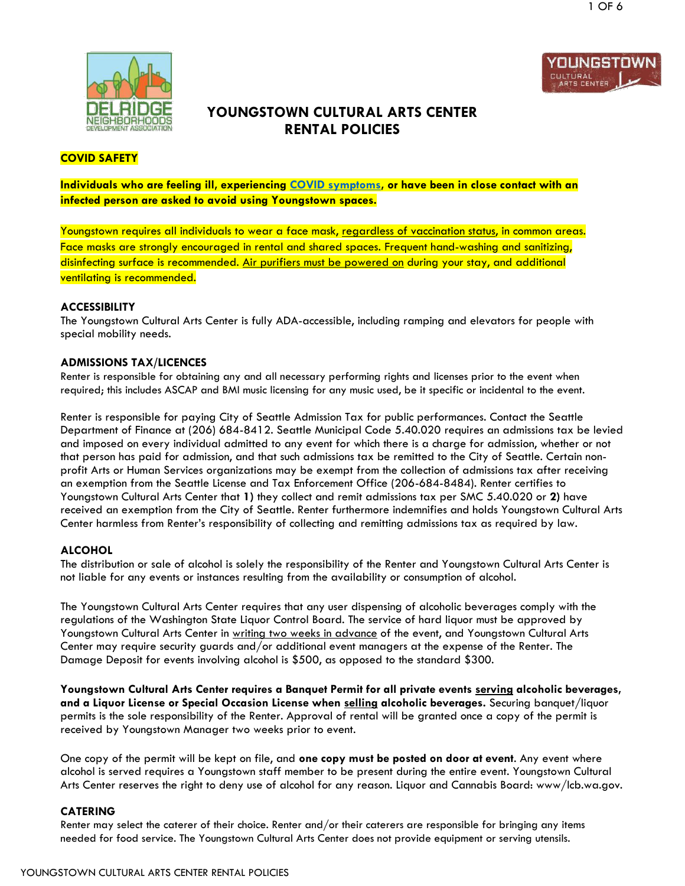



# **YOUNGSTOWN CULTURAL ARTS CENTER RENTAL POLICIES**

# **COVID SAFETY**

# **Individuals who are feeling ill, experiencing [COVID symptoms,](https://kingcounty.gov/depts/health/communicable-diseases/disease-control/novel-coronavirus/~/media/depts/health/communicable-diseases/documents/C19/recognizing-covid-19-symptoms-elderly.ashx) or have been in close contact with an infected person are asked to avoid using Youngstown spaces.**

Youngstown requires all individuals to wear a face mask, regardless of vaccination status, in common areas. Face masks are strongly encouraged in rental and shared spaces. Frequent hand-washing and sanitizing, disinfecting surface is recommended. Air purifiers must be powered on during your stay, and additional ventilating is recommended.

#### **ACCESSIBILITY**

The Youngstown Cultural Arts Center is fully ADA-accessible, including ramping and elevators for people with special mobility needs.

#### **ADMISSIONS TAX/LICENCES**

Renter is responsible for obtaining any and all necessary performing rights and licenses prior to the event when required; this includes ASCAP and BMI music licensing for any music used, be it specific or incidental to the event.

Renter is responsible for paying City of Seattle Admission Tax for public performances. Contact the Seattle Department of Finance at (206) 684-8412. Seattle Municipal Code 5.40.020 requires an admissions tax be levied and imposed on every individual admitted to any event for which there is a charge for admission, whether or not that person has paid for admission, and that such admissions tax be remitted to the City of Seattle. Certain nonprofit Arts or Human Services organizations may be exempt from the collection of admissions tax after receiving an exemption from the Seattle License and Tax Enforcement Office (206-684-8484). Renter certifies to Youngstown Cultural Arts Center that **1)** they collect and remit admissions tax per SMC 5.40.020 or **2)** have received an exemption from the City of Seattle. Renter furthermore indemnifies and holds Youngstown Cultural Arts Center harmless from Renter's responsibility of collecting and remitting admissions tax as required by law.

#### **ALCOHOL**

The distribution or sale of alcohol is solely the responsibility of the Renter and Youngstown Cultural Arts Center is not liable for any events or instances resulting from the availability or consumption of alcohol.

The Youngstown Cultural Arts Center requires that any user dispensing of alcoholic beverages comply with the regulations of the Washington State Liquor Control Board. The service of hard liquor must be approved by Youngstown Cultural Arts Center in writing two weeks in advance of the event, and Youngstown Cultural Arts Center may require security guards and/or additional event managers at the expense of the Renter. The Damage Deposit for events involving alcohol is \$500, as opposed to the standard \$300.

**Youngstown Cultural Arts Center requires a Banquet Permit for all private events serving alcoholic beverages, and a Liquor License or Special Occasion License when selling alcoholic beverages.** Securing banquet/liquor permits is the sole responsibility of the Renter. Approval of rental will be granted once a copy of the permit is received by Youngstown Manager two weeks prior to event.

One copy of the permit will be kept on file, and **one copy must be posted on door at event**. Any event where alcohol is served requires a Youngstown staff member to be present during the entire event. Youngstown Cultural Arts Center reserves the right to deny use of alcohol for any reason. Liquor and Cannabis Board: www/lcb.wa.gov.

#### **CATERING**

Renter may select the caterer of their choice. Renter and/or their caterers are responsible for bringing any items needed for food service. The Youngstown Cultural Arts Center does not provide equipment or serving utensils.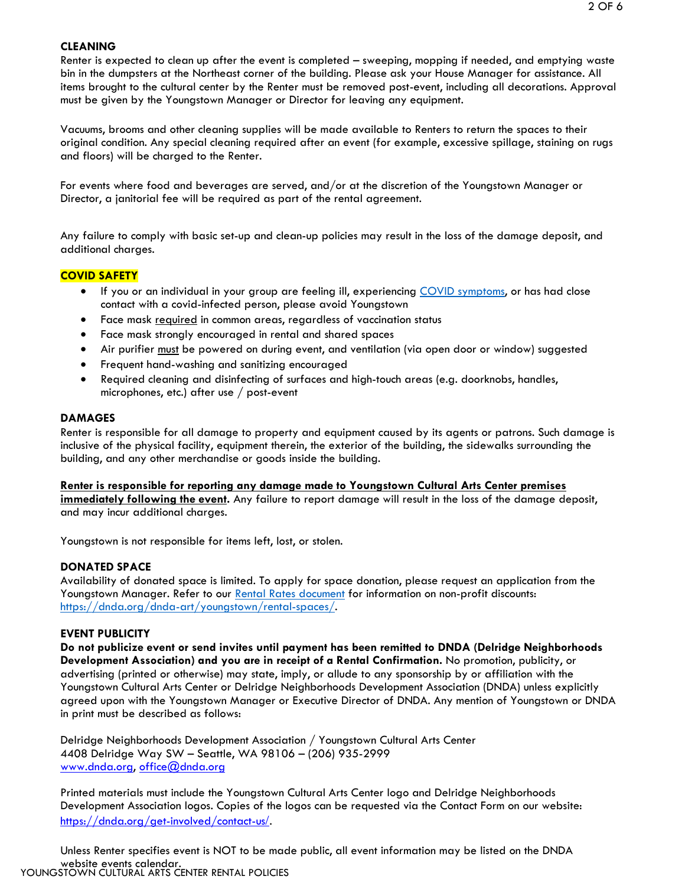#### **CLEANING**

Renter is expected to clean up after the event is completed – sweeping, mopping if needed, and emptying waste bin in the dumpsters at the Northeast corner of the building. Please ask your House Manager for assistance. All items brought to the cultural center by the Renter must be removed post-event, including all decorations. Approval must be given by the Youngstown Manager or Director for leaving any equipment.

Vacuums, brooms and other cleaning supplies will be made available to Renters to return the spaces to their original condition. Any special cleaning required after an event (for example, excessive spillage, staining on rugs and floors) will be charged to the Renter.

For events where food and beverages are served, and/or at the discretion of the Youngstown Manager or Director, a janitorial fee will be required as part of the rental agreement.

Any failure to comply with basic set-up and clean-up policies may result in the loss of the damage deposit, and additional charges.

#### **COVID SAFETY**

- If you or an individual in your group are feeling ill, experiencing [COVID symptoms,](https://kingcounty.gov/depts/health/communicable-diseases/disease-control/novel-coronavirus/~/media/depts/health/communicable-diseases/documents/C19/recognizing-covid-19-symptoms-elderly.ashx) or has had close contact with a covid-infected person, please avoid Youngstown
- Face mask required in common areas, regardless of vaccination status
- Face mask strongly encouraged in rental and shared spaces
- Air purifier must be powered on during event, and ventilation (via open door or window) suggested
- Frequent hand-washing and sanitizing encouraged
- Required cleaning and disinfecting of surfaces and high-touch areas (e.g. doorknobs, handles, microphones, etc.) after use / post-event

## **DAMAGES**

Renter is responsible for all damage to property and equipment caused by its agents or patrons. Such damage is inclusive of the physical facility, equipment therein, the exterior of the building, the sidewalks surrounding the building, and any other merchandise or goods inside the building.

#### **Renter is responsible for reporting any damage made to Youngstown Cultural Arts Center premises immediately following the event.** Any failure to report damage will result in the loss of the damage deposit, and may incur additional charges.

Youngstown is not responsible for items left, lost, or stolen.

#### **DONATED SPACE**

Availability of donated space is limited. To apply for space donation, please request an application from the Youngstown Manager. Refer to our [Rental Rates](https://dnda.org/wp-content/uploads/2018/11/Rental-Rates.pdf) document for information on non-profit discounts: [https://dnda.org/dnda-art/youngstown/rental-spaces/.](https://dnda.org/dnda-art/youngstown/rental-spaces/)

# **EVENT PUBLICITY**

**Do not publicize event or send invites until payment has been remitted to DNDA (Delridge Neighborhoods Development Association) and you are in receipt of a Rental Confirmation.** No promotion, publicity, or advertising (printed or otherwise) may state, imply, or allude to any sponsorship by or affiliation with the Youngstown Cultural Arts Center or Delridge Neighborhoods Development Association (DNDA) unless explicitly agreed upon with the Youngstown Manager or Executive Director of DNDA. Any mention of Youngstown or DNDA in print must be described as follows:

Delridge Neighborhoods Development Association / Youngstown Cultural Arts Center 4408 Delridge Way SW – Seattle, WA 98106 – (206) 935-2999 [www.dnda.org,](http://www.dnda.org/) [office@dnda.org](http://www.dnda.org/)

Printed materials must include the Youngstown Cultural Arts Center logo and Delridge Neighborhoods Development Association logos. Copies of the logos can be requested via the Contact Form on our website: [https://dnda.org/get-involved/contact-us](https://dnda.org/get-involved/contact-us/)/.

website events calendar.<br>YOUNGSTOWN CULTURAL ARTS CENTER RENTAL POLICIES Unless Renter specifies event is NOT to be made public, all event information may be listed on the DNDA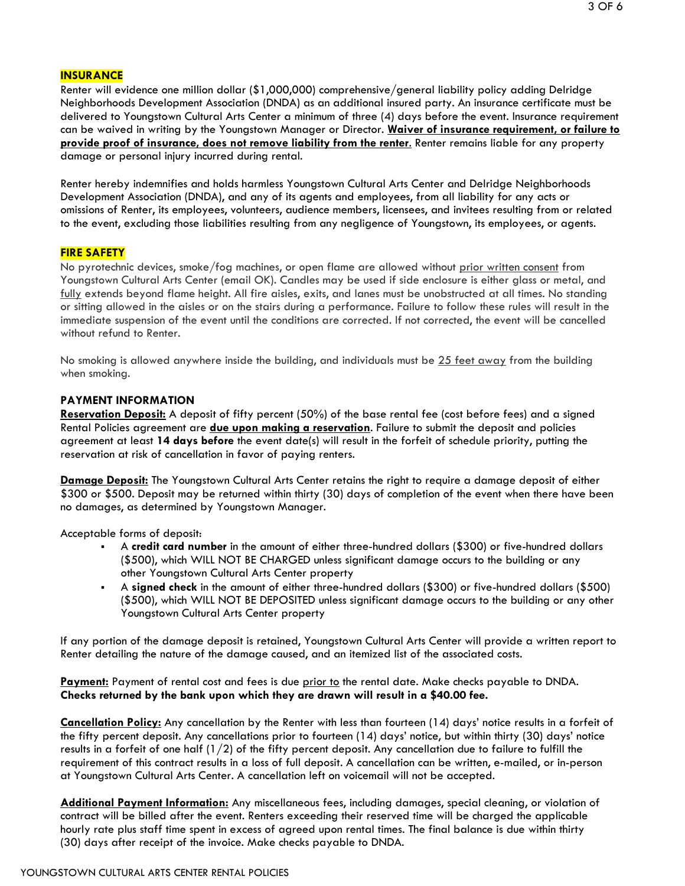Renter will evidence one million dollar (\$1,000,000) comprehensive/general liability policy adding Delridge Neighborhoods Development Association (DNDA) as an additional insured party. An insurance certificate must be delivered to Youngstown Cultural Arts Center a minimum of three (4) days before the event. Insurance requirement can be waived in writing by the Youngstown Manager or Director. **Waiver of insurance requirement, or failure to provide proof of insurance, does not remove liability from the renter**. Renter remains liable for any property damage or personal injury incurred during rental.

Renter hereby indemnifies and holds harmless Youngstown Cultural Arts Center and Delridge Neighborhoods Development Association (DNDA), and any of its agents and employees, from all liability for any acts or omissions of Renter, its employees, volunteers, audience members, licensees, and invitees resulting from or related to the event, excluding those liabilities resulting from any negligence of Youngstown, its employees, or agents.

#### **FIRE SAFETY**

No pyrotechnic devices, smoke/fog machines, or open flame are allowed without prior written consent from Youngstown Cultural Arts Center (email OK). Candles may be used if side enclosure is either glass or metal, and fully extends beyond flame height. All fire aisles, exits, and lanes must be unobstructed at all times. No standing or sitting allowed in the aisles or on the stairs during a performance. Failure to follow these rules will result in the immediate suspension of the event until the conditions are corrected. If not corrected, the event will be cancelled without refund to Renter*.*

No smoking is allowed anywhere inside the building, and individuals must be 25 feet away from the building when smoking.

#### **PAYMENT INFORMATION**

**Reservation Deposit:** A deposit of fifty percent (50%) of the base rental fee (cost before fees) and a signed Rental Policies agreement are **due upon making a reservation**. Failure to submit the deposit and policies agreement at least **14 days before** the event date(s) will result in the forfeit of schedule priority, putting the reservation at risk of cancellation in favor of paying renters.

**Damage Deposit:** The Youngstown Cultural Arts Center retains the right to require a damage deposit of either \$300 or \$500. Deposit may be returned within thirty (30) days of completion of the event when there have been no damages, as determined by Youngstown Manager.

Acceptable forms of deposit:

- A **credit card number** in the amount of either three-hundred dollars (\$300) or five-hundred dollars (\$500), which WILL NOT BE CHARGED unless significant damage occurs to the building or any other Youngstown Cultural Arts Center property
- A **signed check** in the amount of either three-hundred dollars (\$300) or five-hundred dollars (\$500) (\$500), which WILL NOT BE DEPOSITED unless significant damage occurs to the building or any other Youngstown Cultural Arts Center property

If any portion of the damage deposit is retained, Youngstown Cultural Arts Center will provide a written report to Renter detailing the nature of the damage caused, and an itemized list of the associated costs.

Payment: Payment of rental cost and fees is due prior to the rental date. Make checks payable to DNDA. **Checks returned by the bank upon which they are drawn will result in a \$40.00 fee.**

**Cancellation Policy:** Any cancellation by the Renter with less than fourteen (14) days' notice results in a forfeit of the fifty percent deposit. Any cancellations prior to fourteen (14) days' notice, but within thirty (30) days' notice results in a forfeit of one half  $(1/2)$  of the fifty percent deposit. Any cancellation due to failure to fulfill the requirement of this contract results in a loss of full deposit*.* A cancellation can be written, e-mailed, or in-person at Youngstown Cultural Arts Center. A cancellation left on voicemail will not be accepted.

**Additional Payment Information:** Any miscellaneous fees, including damages, special cleaning, or violation of contract will be billed after the event. Renters exceeding their reserved time will be charged the applicable hourly rate plus staff time spent in excess of agreed upon rental times. The final balance is due within thirty (30) days after receipt of the invoice. Make checks payable to DNDA.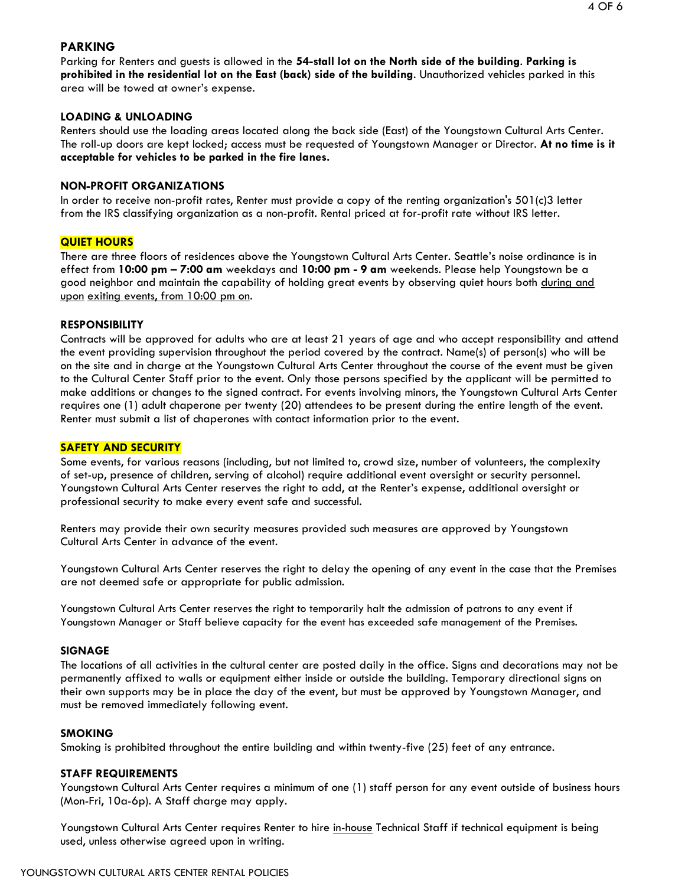# **PARKING**

Parking for Renters and guests is allowed in the **54-stall lot on the North side of the building**. **Parking is prohibited in the residential lot on the East (back) side of the building**. Unauthorized vehicles parked in this area will be towed at owner's expense.

#### **LOADING & UNLOADING**

Renters should use the loading areas located along the back side (East) of the Youngstown Cultural Arts Center. The roll-up doors are kept locked; access must be requested of Youngstown Manager or Director. **At no time is it acceptable for vehicles to be parked in the fire lanes.**

#### **NON-PROFIT ORGANIZATIONS**

In order to receive non-profit rates, Renter must provide a copy of the renting organization's 501(c)3 letter from the IRS classifying organization as a non-profit. Rental priced at for-profit rate without IRS letter.

#### **QUIET HOURS**

There are three floors of residences above the Youngstown Cultural Arts Center. Seattle's noise ordinance is in effect from **10:00 pm – 7:00 am** weekdays and **10:00 pm - 9 am** weekends. Please help Youngstown be a good neighbor and maintain the capability of holding great events by observing quiet hours both during and upon exiting events, from 10:00 pm on.

#### **RESPONSIBILITY**

Contracts will be approved for adults who are at least 21 years of age and who accept responsibility and attend the event providing supervision throughout the period covered by the contract. Name(s) of person(s) who will be on the site and in charge at the Youngstown Cultural Arts Center throughout the course of the event must be given to the Cultural Center Staff prior to the event. Only those persons specified by the applicant will be permitted to make additions or changes to the signed contract. For events involving minors, the Youngstown Cultural Arts Center requires one (1) adult chaperone per twenty (20) attendees to be present during the entire length of the event. Renter must submit a list of chaperones with contact information prior to the event.

#### **SAFETY AND SECURITY**

Some events, for various reasons (including, but not limited to, crowd size, number of volunteers, the complexity of set-up, presence of children, serving of alcohol) require additional event oversight or security personnel. Youngstown Cultural Arts Center reserves the right to add, at the Renter's expense, additional oversight or professional security to make every event safe and successful.

Renters may provide their own security measures provided such measures are approved by Youngstown Cultural Arts Center in advance of the event.

Youngstown Cultural Arts Center reserves the right to delay the opening of any event in the case that the Premises are not deemed safe or appropriate for public admission.

Youngstown Cultural Arts Center reserves the right to temporarily halt the admission of patrons to any event if Youngstown Manager or Staff believe capacity for the event has exceeded safe management of the Premises.

#### **SIGNAGE**

The locations of all activities in the cultural center are posted daily in the office. Signs and decorations may not be permanently affixed to walls or equipment either inside or outside the building. Temporary directional signs on their own supports may be in place the day of the event, but must be approved by Youngstown Manager, and must be removed immediately following event.

#### **SMOKING**

Smoking is prohibited throughout the entire building and within twenty-five (25) feet of any entrance.

#### **STAFF REQUIREMENTS**

Youngstown Cultural Arts Center requires a minimum of one (1) staff person for any event outside of business hours (Mon-Fri, 10a-6p). A Staff charge may apply.

Youngstown Cultural Arts Center requires Renter to hire in-house Technical Staff if technical equipment is being used, unless otherwise agreed upon in writing.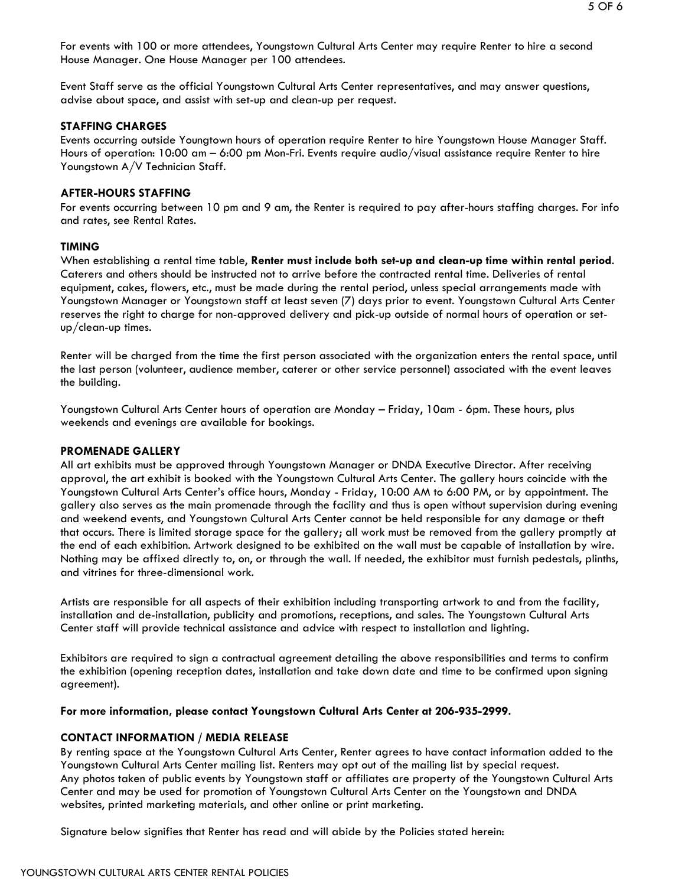5 OF 6

For events with 100 or more attendees, Youngstown Cultural Arts Center may require Renter to hire a second House Manager. One House Manager per 100 attendees.

Event Staff serve as the official Youngstown Cultural Arts Center representatives, and may answer questions, advise about space, and assist with set-up and clean-up per request.

# **STAFFING CHARGES**

Events occurring outside Youngtown hours of operation require Renter to hire Youngstown House Manager Staff. Hours of operation: 10:00 am – 6:00 pm Mon-Fri. Events require audio/visual assistance require Renter to hire Youngstown A/V Technician Staff.

### **AFTER-HOURS STAFFING**

For events occurring between 10 pm and 9 am, the Renter is required to pay after-hours staffing charges. For info and rates, see Rental Rates.

## **TIMING**

When establishing a rental time table, **Renter must include both set-up and clean-up time within rental period**. Caterers and others should be instructed not to arrive before the contracted rental time. Deliveries of rental equipment, cakes, flowers, etc., must be made during the rental period, unless special arrangements made with Youngstown Manager or Youngstown staff at least seven (7) days prior to event. Youngstown Cultural Arts Center reserves the right to charge for non-approved delivery and pick-up outside of normal hours of operation or setup/clean-up times.

Renter will be charged from the time the first person associated with the organization enters the rental space, until the last person (volunteer, audience member, caterer or other service personnel) associated with the event leaves the building.

Youngstown Cultural Arts Center hours of operation are Monday – Friday, 10am - 6pm. These hours, plus weekends and evenings are available for bookings.

#### **PROMENADE GALLERY**

All art exhibits must be approved through Youngstown Manager or DNDA Executive Director. After receiving approval, the art exhibit is booked with the Youngstown Cultural Arts Center. The gallery hours coincide with the Youngstown Cultural Arts Center's office hours, Monday - Friday, 10:00 AM to 6:00 PM, or by appointment. The gallery also serves as the main promenade through the facility and thus is open without supervision during evening and weekend events, and Youngstown Cultural Arts Center cannot be held responsible for any damage or theft that occurs. There is limited storage space for the gallery; all work must be removed from the gallery promptly at the end of each exhibition. Artwork designed to be exhibited on the wall must be capable of installation by wire. Nothing may be affixed directly to, on, or through the wall. If needed, the exhibitor must furnish pedestals, plinths, and vitrines for three-dimensional work.

Artists are responsible for all aspects of their exhibition including transporting artwork to and from the facility, installation and de-installation, publicity and promotions, receptions, and sales. The Youngstown Cultural Arts Center staff will provide technical assistance and advice with respect to installation and lighting.

Exhibitors are required to sign a contractual agreement detailing the above responsibilities and terms to confirm the exhibition (opening reception dates, installation and take down date and time to be confirmed upon signing agreement).

#### **For more information, please contact Youngstown Cultural Arts Center at 206-935-2999.**

# **CONTACT INFORMATION / MEDIA RELEASE**

By renting space at the Youngstown Cultural Arts Center, Renter agrees to have contact information added to the Youngstown Cultural Arts Center mailing list. Renters may opt out of the mailing list by special request. Any photos taken of public events by Youngstown staff or affiliates are property of the Youngstown Cultural Arts Center and may be used for promotion of Youngstown Cultural Arts Center on the Youngstown and DNDA websites, printed marketing materials, and other online or print marketing.

Signature below signifies that Renter has read and will abide by the Policies stated herein: